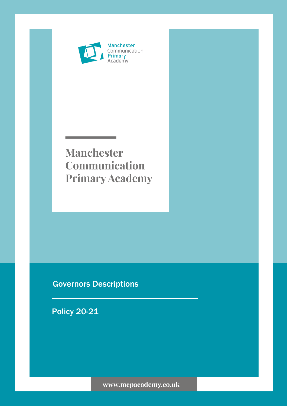

# **Manchester Communication Primary Academy**

## Governors Descriptions

Policy 20-21

ww.mcpacademy.co.uk

www.mcpacademy.co.uk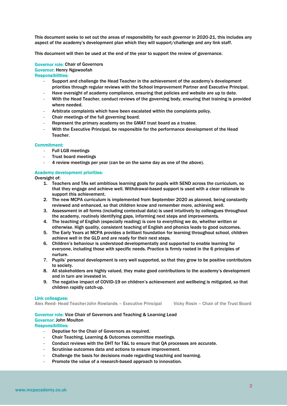This document seeks to set out the areas of responsibility for each governor in 2020-21, this includes any aspect of the academy's development plan which they will support/challenge and any link staff.

This document will then be used at the end of the year to support the review of governance.

## Governor role: Chair of Governors Governor: Henry Ngawoofah Responsibilities:

- Support and challenge the Head Teacher in the achievement of the academy's development priorities through regular reviews with the School Improvement Partner and Executive Principal.
- Have oversight of academy compliance, ensuring that policies and website are up to date.
- With the Head Teacher, conduct reviews of the governing body, ensuring that training is provided where needed.
- Arbitrate complaints which have been escalated within the complaints policy.
- Chair meetings of the full governing board.
- Represent the primary academy on the GMAT trust board as a trustee.
- With the Executive Principal, be responsible for the performance development of the Head Teacher.

## Commitment:

- Full LGB meetings
- Trust board meetings
- 4 review meetings per year (can be on the same day as one of the above).

## Academy development priorities:

Oversight of:

- 1. Teachers and TAs set ambitious learning goals for pupils with SEND across the curriculum, so that they engage and achieve well. Withdrawal-based support is used with a clear rationale to support this achievement.
- 2. The new MCPA curriculum is implemented from September 2020 as planned, being constantly reviewed and enhanced, so that children know and remember more, achieving well.
- 3. Assessment in all forms (including contextual data) is used intuitively by colleagues throughout the academy, routinely identifying gaps, informing next steps and improvements.
- 4. The teaching of English (especially reading) is core to everything we do, whether written or otherwise. High quality, consistent teaching of English and phonics leads to good outcomes.
- 5. The Early Years at MCPA provides a brilliant foundation for learning throughout school, children achieve well in the GLD and are ready for their next steps.
- 6. Children's behaviour is understood developmentally and supported to enable learning for everyone, including those with specific needs. Practice is firmly rooted in the 6 principles of nurture.
- 7. Pupils' personal development is very well supported, so that they grow to be positive contributors to society.
- 8. All stakeholders are highly valued, they make good contributions to the academy's development and in turn are invested in.
- 9. The negative impact of COVID-19 on children's achievement and wellbeing is mitigated, so that children rapidly catch-up.

#### Link colleagues:

Alex Reed- Head TeacherJohn Rowlands – Executive Principal Vicky Rosin – Chair of the Trust Board

#### Governor role: Vice Chair of Governors and Teaching & Learning Lead Governor: John Moulton Responsibilities:

- Deputise for the Chair of Governors as required.
- Chair Teaching, Learning & Outcomes committee meetings.
- Conduct reviews with the DHT for T&L to ensure that QA processes are accurate.
- Scrutinise outcomes data and actions to ensure improvement.
- Challenge the basis for decisions made regarding teaching and learning.
- Promote the value of a research-based approach to innovation.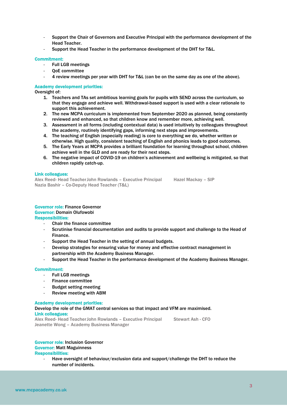- Support the Chair of Governors and Executive Principal with the performance development of the Head Teacher.
- Support the Head Teacher in the performance development of the DHT for T&L.

## Commitment:

- Full LGB meetings
- OoE committee
- 4 review meetings per year with DHT for T&L (can be on the same day as one of the above).

## Academy development priorities:

Oversight of:

- 1. Teachers and TAs set ambitious learning goals for pupils with SEND across the curriculum, so that they engage and achieve well. Withdrawal-based support is used with a clear rationale to support this achievement.
- 2. The new MCPA curriculum is implemented from September 2020 as planned, being constantly reviewed and enhanced, so that children know and remember more, achieving well.
- 3. Assessment in all forms (including contextual data) is used intuitively by colleagues throughout the academy, routinely identifying gaps, informing next steps and improvements.
- 4. The teaching of English (especially reading) is core to everything we do, whether written or otherwise. High quality, consistent teaching of English and phonics leads to good outcomes.
- 5. The Early Years at MCPA provides a brilliant foundation for learning throughout school, children achieve well in the GLD and are ready for their next steps.
- 6. The negative impact of COVID-19 on children's achievement and wellbeing is mitigated, so that children rapidly catch-up.

#### Link colleagues:

Alex Reed- Head TeacherJohn Rowlands – Executive Principal Hazel Mackay – SIP Nazia Bashir – Co-Deputy Head Teacher (T&L)

#### Governor role: Finance Governor Governor: Domain Olufowobi Responsibilities:

- Chair the finance committee
- Scrutinise financial documentation and audits to provide support and challenge to the Head of Finance.
- Support the Head Teacher in the setting of annual budgets.
- Develop strategies for ensuring value for money and effective contract management in partnership with the Academy Business Manager.
- Support the Head Teacher in the performance development of the Academy Business Manager.

## Commitment:

- Full LGB meetings
- Finance committee
- **Budget setting meeting**
- Review meeting with ABM

## Academy development priorities:

## Develop the role of the GMAT central services so that impact and VFM are maximised. Link colleagues:

Alex Reed- Head Teacher John Rowlands – Executive Principal Stewart Ash - CFO Jeanette Wong – Academy Business Manager

## Governor role: Inclusion Governor Governor: Matt Maguinness Responsibilities:

Have oversight of behaviour/exclusion data and support/challenge the DHT to reduce the number of incidents.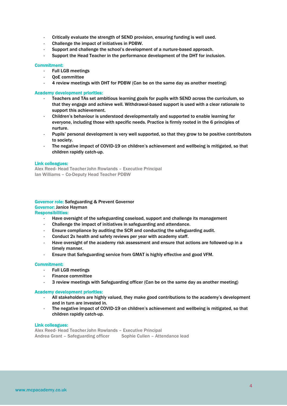- Critically evaluate the strength of SEND provision, ensuring funding is well used.
- Challenge the impact of initiatives in PDBW.
- Support and challenge the school's development of a nurture-based approach.
- Support the Head Teacher in the performance development of the DHT for inclusion.

#### Commitment:

- Full LGB meetings
- QoE committee
- 4 review meetings with DHT for PDBW (Can be on the same day as another meeting)

#### Academy development priorities:

- Teachers and TAs set ambitious learning goals for pupils with SEND across the curriculum, so that they engage and achieve well. Withdrawal-based support is used with a clear rationale to support this achievement.
- Children's behaviour is understood developmentally and supported to enable learning for everyone, including those with specific needs. Practice is firmly rooted in the 6 principles of nurture.
- Pupils' personal development is very well supported, so that they grow to be positive contributors to society.
- The negative impact of COVID-19 on children's achievement and wellbeing is mitigated, so that children rapidly catch-up.

#### Link colleagues:

Alex Reed- Head TeacherJohn Rowlands – Executive Principal Ian Williams – Co-Deputy Head Teacher PDBW

#### Governor role: Safeguarding & Prevent Governor Governor: Janice Hayman Responsibilities:

- Have oversight of the safeguarding caseload, support and challenge its management
- Challenge the impact of initiatives in safeguarding and attendance.
- Ensure compliance by auditing the SCR and conducting the safeguarding audit.
- Conduct 2x health and safety reviews per year with academy staff.
- Have oversight of the academy risk assessment and ensure that actions are followed-up in a timely manner.
- Ensure that Safeguarding service from GMAT is highly effective and good VFM.

#### Commitment:

- Full LGB meetings
- Finance committee
- 3 review meetings with Safeguarding officer (Can be on the same day as another meeting)

#### Academy development priorities:

- All stakeholders are highly valued, they make good contributions to the academy's development and in turn are invested in.
- The negative impact of COVID-19 on children's achievement and wellbeing is mitigated, so that children rapidly catch-up.

#### Link colleagues:

Alex Reed- Head TeacherJohn Rowlands – Executive Principal Andrea Grant - Safeguarding officer Sophie Cullen - Attendance lead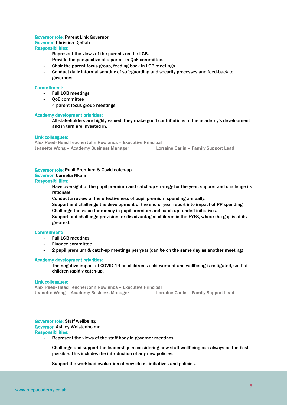## Governor role: Parent Link Governor Governor: Christina Djebah Responsibilities:

- Represent the views of the parents on the LGB.
- Provide the perspective of a parent in QoE committee.
- Chair the parent focus group, feeding back in LGB meetings.
- Conduct daily informal scrutiny of safeguarding and security processes and feed-back to governors.

## Commitment:

- Full LGB meetings
- OoE committee
- 4 parent focus group meetings.

#### Academy development priorities:

- All stakeholders are highly valued, they make good contributions to the academy's development and in turn are invested in.

## Link colleagues:

Alex Reed- Head TeacherJohn Rowlands – Executive Principal Jeanette Wong – Academy Business Manager Lorraine Carlin – Family Support Lead

#### Governor role: Pupil Premium & Covid catch-up Governor: Cornelia Nkala Responsibilities:

- Have oversight of the pupil premium and catch-up strategy for the year, support and challenge its rationale.
- Conduct a review of the effectiveness of pupil premium spending annually.
- Support and challenge the development of the end of year report into impact of PP spending.
- Challenge the value for money in pupil-premium and catch-up funded initiatives.
- Support and challenge provision for disadvantaged children in the EYFS, where the gap is at its greatest.

## Commitment:

- Full LGB meetings
- Finance committee
- 2 pupil premium & catch-up meetings per year (can be on the same day as another meeting)

## Academy development priorities:

The negative impact of COVID-19 on children's achievement and wellbeing is mitigated, so that children rapidly catch-up.

#### Link colleagues:

Alex Reed- Head TeacherJohn Rowlands – Executive Principal Jeanette Wong – Academy Business Manager Lorraine Carlin – Family Support Lead

#### Governor role: Staff wellbeing Governor: Ashley Wolstenholme Responsibilities:

- Represent the views of the staff body in governor meetings.
- Challenge and support the leadership in considering how staff wellbeing can always be the best possible. This includes the introduction of any new policies.
- Support the workload evaluation of new ideas, initiatives and policies.